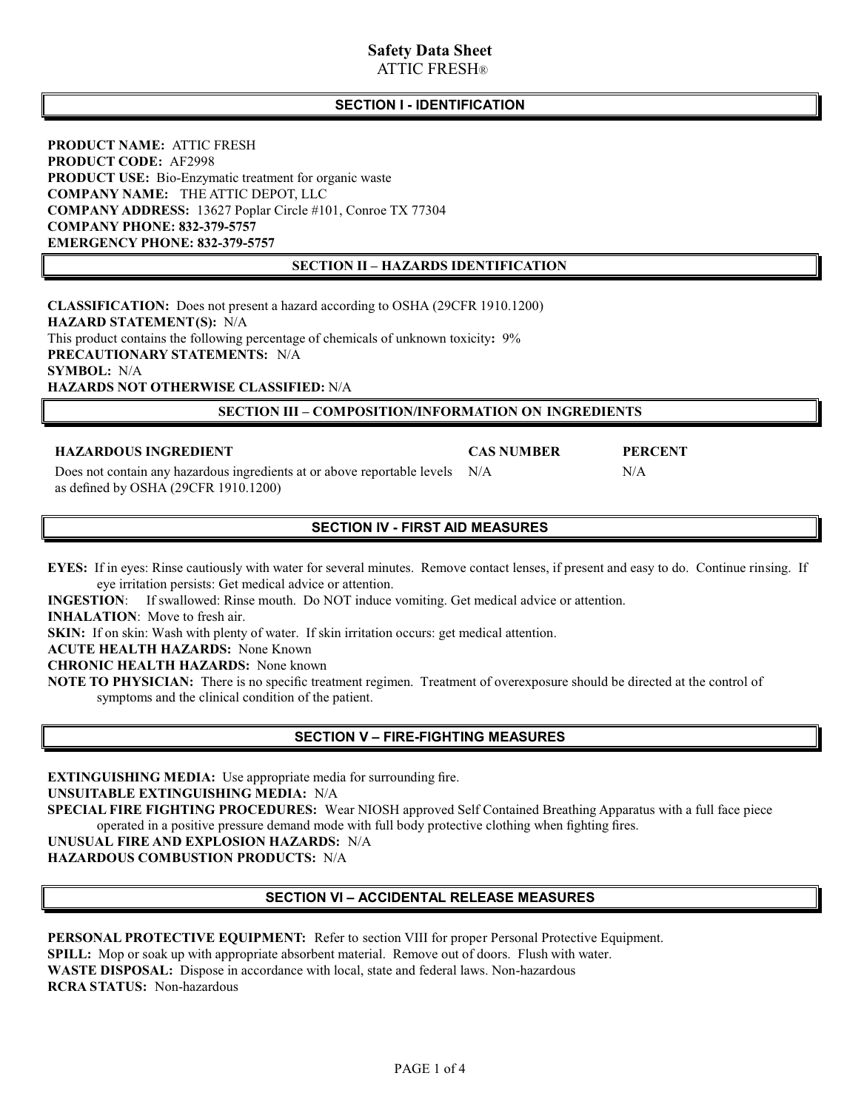## **Safety Data Sheet**  ATTIC FRESH®

## **SECTION I - IDENTIFICATION**

**PRODUCT NAME: ATTIC FRESH PRODUCT CODE:** AF2998 **PRODUCT USE:** Bio-Enzymatic treatment for organic waste **COMPANY NAME:** THE ATTIC DEPOT, LLC **COMPANY ADDRESS:** 13627 Poplar Circle #101, Conroe TX 77304 **COMPANY PHONE: 832-379-5757 EMERGENCY PHONE: 832-379-5757** 

#### **SECTION II – HAZARDS IDENTIFICATION**

**CLASSIFICATION:** Does not present a hazard according to OSHA (29CFR 1910.1200) **HAZARD STATEMENT(S):** N/A This product contains the following percentage of chemicals of unknown toxicity**:** 9% **PRECAUTIONARY STATEMENTS:** N/A **SYMBOL:** N/A **HAZARDS NOT OTHERWISE CLASSIFIED:** N/A

#### **SECTION III – COMPOSITION/INFORMATION ON INGREDIENTS**

#### **HAZARDOUS INGREDIENT CAS NUMBER PERCENT**

Does not contain any hazardous ingredients at or above reportable levels  $N/A$  N/A as defined by OSHA (29CFR 1910.1200)

#### **SECTION IV - FIRST AID MEASURES**

**EYES:** If in eyes: Rinse cautiously with water for several minutes. Remove contact lenses, if present and easy to do. Continue rinsing. If eye irritation persists: Get medical advice or attention.

**INGESTION**: If swallowed: Rinse mouth. Do NOT induce vomiting. Get medical advice or attention.

**INHALATION**:Move to fresh air.

**SKIN:** If on skin: Wash with plenty of water. If skin irritation occurs: get medical attention.

**ACUTE HEALTH HAZARDS:** None Known

**CHRONIC HEALTH HAZARDS:** None known

**NOTE TO PHYSICIAN:** There is no specific treatment regimen. Treatment of overexposure should be directed at the control of symptoms and the clinical condition of the patient.

#### **SECTION V – FIRE-FIGHTING MEASURES**

**EXTINGUISHING MEDIA:** Use appropriate media for surrounding fire. **UNSUITABLE EXTINGUISHING MEDIA:** N/A **SPECIAL FIRE FIGHTING PROCEDURES:** Wear NIOSH approved Self Contained Breathing Apparatus with a full face piece

operated in a positive pressure demand mode with full body protective clothing when fighting fires.

**UNUSUAL FIRE AND EXPLOSION HAZARDS:** N/A **HAZARDOUS COMBUSTION PRODUCTS:** N/A

#### **SECTION VI – ACCIDENTAL RELEASE MEASURES**

**PERSONAL PROTECTIVE EQUIPMENT:** Refer to section VIII for proper Personal Protective Equipment.

**SPILL:** Mop or soak up with appropriate absorbent material. Remove out of doors. Flush with water.

**WASTE DISPOSAL:** Dispose in accordance with local, state and federal laws. Non-hazardous **RCRA STATUS:** Non-hazardous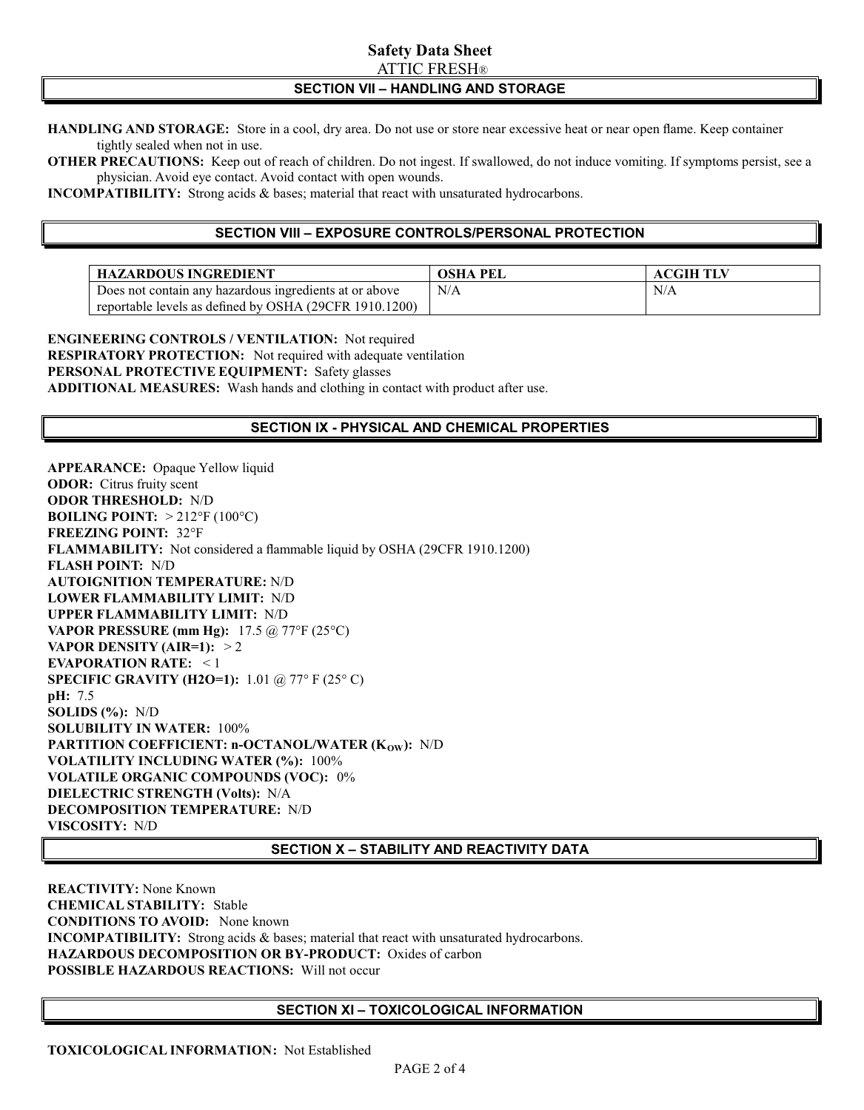## **SECTION VII – HANDLING AND STORAGE Safety Data Sheet**  ATTIC FRESH®

**HANDLING AND STORAGE:** Store in a cool, dry area. Do not use or store near excessive heat or near open flame. Keep container tightly sealed when not in use.

**OTHER PRECAUTIONS:** Keep out of reach of children. Do not ingest. If swallowed, do not induce vomiting. If symptoms persist, see a physician. Avoid eye contact. Avoid contact with open wounds.

**INCOMPATIBILITY:** Strong acids & bases; material that react with unsaturated hydrocarbons.

## **SECTION VIII – EXPOSURE CONTROLS/PERSONAL PROTECTION**

| HAZARDOUS INGREDIENT                                   | <b>OSHA PEL</b> | <b>ACGIH TLV</b> |
|--------------------------------------------------------|-----------------|------------------|
| Does not contain any hazardous ingredients at or above | N/A             | N/A              |
| reportable levels as defined by OSHA (29CFR 1910.1200) |                 |                  |

**ENGINEERING CONTROLS / VENTILATION:** Not required **RESPIRATORY PROTECTION:** Not required with adequate ventilation **PERSONAL PROTECTIVE EQUIPMENT:** Safety glasses **ADDITIONAL MEASURES:** Wash hands and clothing in contact with product after use.

## **SECTION IX - PHYSICAL AND CHEMICAL PROPERTIES**

**APPEARANCE:** Opaque Yellow liquid **ODOR:** Citrus fruity scent **ODOR THRESHOLD:** N/D **BOILING POINT:** > 212°F (100°C) **FREEZING POINT:** 32°F **FLAMMABILITY:** Not considered a flammable liquid by OSHA (29CFR 1910.1200) **FLASH POINT:** N/D **AUTOIGNITION TEMPERATURE:** N/D **LOWER FLAMMABILITY LIMIT:** N/D **UPPER FLAMMABILITY LIMIT:** N/D **VAPOR PRESSURE (mm Hg):** 17.5 @ 77°F (25°C) **VAPOR DENSITY (AIR=1):** > 2 **EVAPORATION RATE:** < 1 **SPECIFIC GRAVITY (H2O=1):** 1.01 @ 77° F (25° C) **pH:** 7.5 **SOLIDS (%):** N/D **SOLUBILITY IN WATER:** 100% **PARTITION COEFFICIENT: n-OCTANOL/WATER (K<sub>OW</sub>): N/D VOLATILITY INCLUDING WATER (%):** 100% **VOLATILE ORGANIC COMPOUNDS (VOC):** 0% **DIELECTRIC STRENGTH (Volts):** N/A **DECOMPOSITION TEMPERATURE:** N/D **VISCOSITY:** N/D

#### **SECTION X – STABILITY AND REACTIVITY DATA**

**REACTIVITY:** None Known **CHEMICAL STABILITY:** Stable **CONDITIONS TO AVOID:** None known **INCOMPATIBILITY:** Strong acids & bases; material that react with unsaturated hydrocarbons. **HAZARDOUS DECOMPOSITION OR BY-PRODUCT:** Oxides of carbon **POSSIBLE HAZARDOUS REACTIONS:** Will not occur

#### **SECTION XI – TOXICOLOGICAL INFORMATION**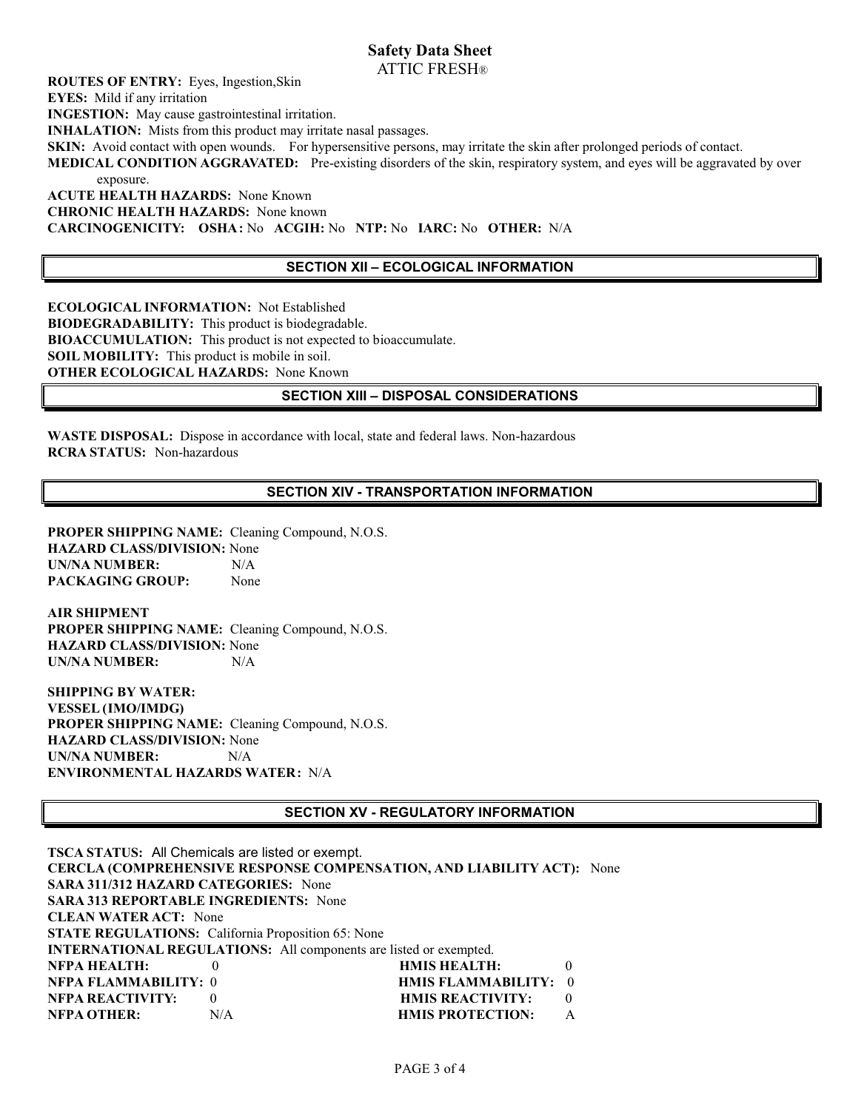# **Safety Data Sheet**

ATTIC FRESH®

**ROUTES OF ENTRY:** Eyes, Ingestion,Skin

**EYES:** Mild if any irritation

**INGESTION:** May cause gastrointestinal irritation.

**INHALATION:** Mists from this product may irritate nasal passages.

**SKIN:** Avoid contact with open wounds. For hypersensitive persons, may irritate the skin after prolonged periods of contact.

**MEDICAL CONDITION AGGRAVATED:** Pre-existing disorders of the skin, respiratory system, and eyes will be aggravated by over exposure.

**ACUTE HEALTH HAZARDS:** None Known **CHRONIC HEALTH HAZARDS:** None known **CARCINOGENICITY: OSHA:** No **ACGIH:** No **NTP:** No **IARC:** No **OTHER:** N/A

## **SECTION XII – ECOLOGICAL INFORMATION**

**ECOLOGICAL INFORMATION:** Not Established **BIODEGRADABILITY:** This product is biodegradable. **BIOACCUMULATION:** This product is not expected to bioaccumulate. **SOIL MOBILITY:** This product is mobile in soil. **OTHER ECOLOGICAL HAZARDS:** None Known

## **SECTION XIII – DISPOSAL CONSIDERATIONS**

**WASTE DISPOSAL:** Dispose in accordance with local, state and federal laws. Non-hazardous **RCRA STATUS:** Non-hazardous

## **SECTION XIV - TRANSPORTATION INFORMATION**

**PROPER SHIPPING NAME:** Cleaning Compound, N.O.S. **HAZARD CLASS/DIVISION:** None **UN/NA NUMBER:** N/A **PACKAGING GROUP:** None

**AIR SHIPMENT PROPER SHIPPING NAME:** Cleaning Compound, N.O.S. **HAZARD CLASS/DIVISION:** None UN/NA NUMBER: N/A

**SHIPPING BY WATER: VESSEL (IMO/IMDG) PROPER SHIPPING NAME:** Cleaning Compound, N.O.S. **HAZARD CLASS/DIVISION:** None UN/NA NUMBER: N/A **ENVIRONMENTAL HAZARDS WATER:** N/A

## **SECTION XV - REGULATORY INFORMATION**

**TSCA STATUS:** All Chemicals are listed or exempt. **CERCLA (COMPREHENSIVE RESPONSE COMPENSATION, AND LIABILITY ACT):** None **SARA 311/312 HAZARD CATEGORIES:** None **SARA 313 REPORTABLE INGREDIENTS:** None **CLEAN WATER ACT:** None **STATE REGULATIONS:** California Proposition 65: None **INTERNATIONAL REGULATIONS:** All components are listed or exempted. **NFPA HEALTH:** 0 **HMIS HEALTH:** 0 **NFPA FLAMMABILITY:** 0 **HMIS FLAMMABILITY:** 0 **NFPA REACTIVITY:** 0 **HMIS REACTIVITY:** 0 **NFPA OTHER:** N/A **HMIS PROTECTION:** A